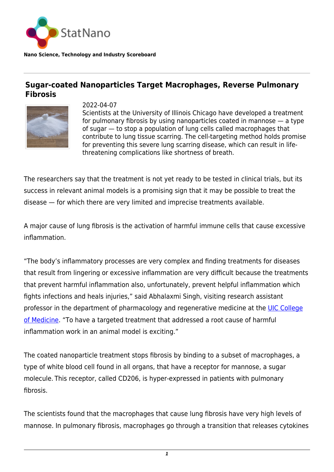

## **Sugar-coated Nanoparticles Target Macrophages, Reverse Pulmonary Fibrosis**



2022-04-07 Scientists at the University of Illinois Chicago have developed a treatment for pulmonary fibrosis by using nanoparticles coated in mannose — a type of sugar — to stop a population of lung cells called macrophages that contribute to lung tissue scarring. The cell-targeting method holds promise for preventing this severe lung scarring disease, which can result in lifethreatening complications like shortness of breath. 

The researchers say that the treatment is not yet ready to be tested in clinical trials, but its success in relevant animal models is a promising sign that it may be possible to treat the disease — for which there are very limited and imprecise treatments available. 

A major cause of lung fibrosis is the activation of harmful immune cells that cause excessive inflammation.

"The body's inflammatory processes are very complex and finding treatments for diseases that result from lingering or excessive inflammation are very difficult because the treatments that prevent harmful inflammation also, unfortunately, prevent helpful inflammation which fights infections and heals injuries," said Abhalaxmi Singh, visiting research assistant professor in the department of pharmacology and regenerative medicine at the [UIC College](http://www.medicine.uic.edu/) [of Medicine.](http://www.medicine.uic.edu/) "To have a targeted treatment that addressed a root cause of harmful inflammation work in an animal model is exciting." 

The coated nanoparticle treatment stops fibrosis by binding to a subset of macrophages, a type of white blood cell found in all organs, that have a receptor for mannose, a sugar molecule. This receptor, called CD206, is hyper-expressed in patients with pulmonary fibrosis.

The scientists found that the macrophages that cause lung fibrosis have very high levels of mannose. In pulmonary fibrosis, macrophages go through a transition that releases cytokines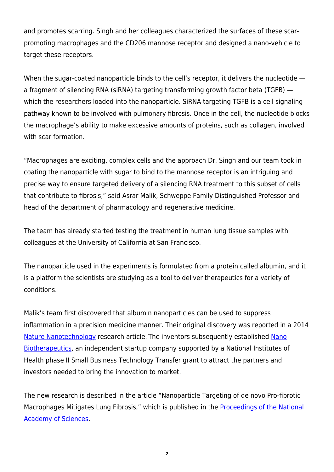and promotes scarring. Singh and her colleagues characterized the surfaces of these scarpromoting macrophages and the CD206 mannose receptor and designed a nano-vehicle to target these receptors. 

When the sugar-coated nanoparticle binds to the cell's receptor, it delivers the nucleotide – a fragment of silencing RNA (siRNA) targeting transforming growth factor beta (TGFB) which the researchers loaded into the nanoparticle. SiRNA targeting TGFB is a cell signaling pathway known to be involved with pulmonary fibrosis. Once in the cell, the nucleotide blocks the macrophage's ability to make excessive amounts of proteins, such as collagen, involved with scar formation. 

"Macrophages are exciting, complex cells and the approach Dr. Singh and our team took in coating the nanoparticle with sugar to bind to the mannose receptor is an intriguing and precise way to ensure targeted delivery of a silencing RNA treatment to this subset of cells that contribute to fibrosis," said Asrar Malik, Schweppe Family Distinguished Professor and head of the department of pharmacology and regenerative medicine. 

The team has already started testing the treatment in human lung tissue samples with colleagues at the University of California at San Francisco. 

The nanoparticle used in the experiments is formulated from a protein called albumin, and it is a platform the scientists are studying as a tool to deliver therapeutics for a variety of conditions. 

Malik's team first discovered that albumin nanoparticles can be used to suppress inflammation in a precision medicine manner. Their original discovery was reported in a 2014 [Nature Nanotechnology](https://www.nature.com/articles/nnano.2014.17) research article. The inventors subsequently established [Nano](http://www.nanobiotherapeutics.com/) [Biotherapeutics](http://www.nanobiotherapeutics.com/), an independent startup company supported by a National Institutes of Health phase II Small Business Technology Transfer grant to attract the partners and investors needed to bring the innovation to market.

The new research is described in the article "Nanoparticle Targeting of de novo Pro-fibrotic Macrophages Mitigates Lung Fibrosis," which is published in the **Proceedings of the National** [Academy of Sciences.](https://www.pnas.org/doi/full/10.1073/pnas.2121098119)